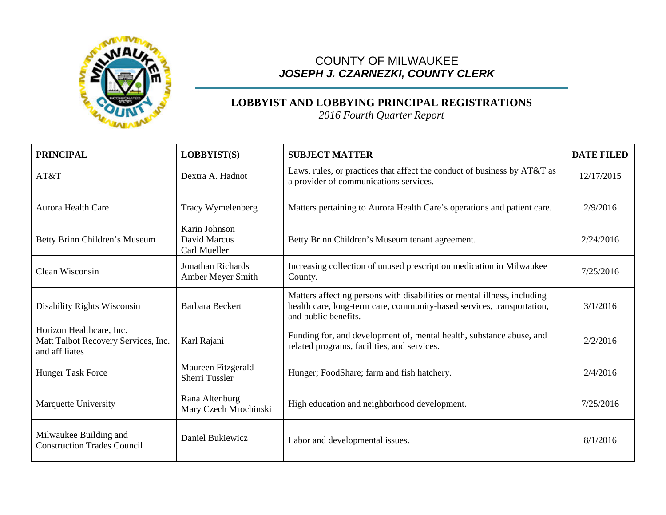

## COUNTY OF MILWAUKEE *JOSEPH J. CZARNEZKI, COUNTY CLERK*

## **LOBBYIST AND LOBBYING PRINCIPAL REGISTRATIONS**

*2016 Fourth Quarter Report*

| <b>PRINCIPAL</b>                                                                  | LOBBYIST(S)                                   | <b>SUBJECT MATTER</b>                                                                                                                                                      | <b>DATE FILED</b> |
|-----------------------------------------------------------------------------------|-----------------------------------------------|----------------------------------------------------------------------------------------------------------------------------------------------------------------------------|-------------------|
| AT&T                                                                              | Dextra A. Hadnot                              | Laws, rules, or practices that affect the conduct of business by AT&T as<br>a provider of communications services.                                                         | 12/17/2015        |
| <b>Aurora Health Care</b>                                                         | Tracy Wymelenberg                             | Matters pertaining to Aurora Health Care's operations and patient care.                                                                                                    | 2/9/2016          |
| Betty Brinn Children's Museum                                                     | Karin Johnson<br>David Marcus<br>Carl Mueller | Betty Brinn Children's Museum tenant agreement.                                                                                                                            | 2/24/2016         |
| Clean Wisconsin                                                                   | <b>Jonathan Richards</b><br>Amber Meyer Smith | Increasing collection of unused prescription medication in Milwaukee<br>County.                                                                                            | 7/25/2016         |
| Disability Rights Wisconsin                                                       | Barbara Beckert                               | Matters affecting persons with disabilities or mental illness, including<br>health care, long-term care, community-based services, transportation,<br>and public benefits. | 3/1/2016          |
| Horizon Healthcare, Inc.<br>Matt Talbot Recovery Services, Inc.<br>and affiliates | Karl Rajani                                   | Funding for, and development of, mental health, substance abuse, and<br>related programs, facilities, and services.                                                        | 2/2/2016          |
| <b>Hunger Task Force</b>                                                          | Maureen Fitzgerald<br><b>Sherri Tussler</b>   | Hunger; FoodShare; farm and fish hatchery.                                                                                                                                 | 2/4/2016          |
| Marquette University                                                              | Rana Altenburg<br>Mary Czech Mrochinski       | High education and neighborhood development.                                                                                                                               | 7/25/2016         |
| Milwaukee Building and<br><b>Construction Trades Council</b>                      | Daniel Bukiewicz                              | Labor and developmental issues.                                                                                                                                            | 8/1/2016          |